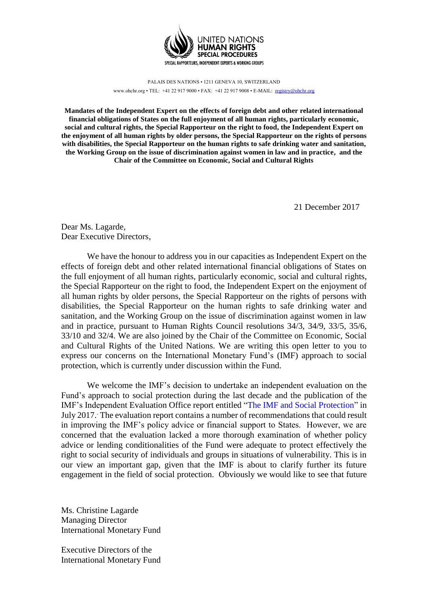

PALAIS DES NATIONS • 1211 GENEVA 10, SWITZERLAND www.ohchr.org • TEL: +41 22 917 9000 • FAX: +41 22 917 9008 • E-MAIL: registry@ohchr.org

**Mandates of the Independent Expert on the effects of foreign debt and other related international financial obligations of States on the full enjoyment of all human rights, particularly economic, social and cultural rights, the Special Rapporteur on the right to food, the Independent Expert on the enjoyment of all human rights by older persons, the Special Rapporteur on the rights of persons with disabilities, the Special Rapporteur on the human rights to safe drinking water and sanitation, the Working Group on the issue of discrimination against women in law and in practice, and the Chair of the Committee on Economic, Social and Cultural Rights**

21 December 2017

Dear Ms. Lagarde, Dear Executive Directors,

We have the honour to address you in our capacities as Independent Expert on the effects of foreign debt and other related international financial obligations of States on the full enjoyment of all human rights, particularly economic, social and cultural rights, the Special Rapporteur on the right to food, the Independent Expert on the enjoyment of all human rights by older persons, the Special Rapporteur on the rights of persons with disabilities, the Special Rapporteur on the human rights to safe drinking water and sanitation, and the Working Group on the issue of discrimination against women in law and in practice, pursuant to Human Rights Council resolutions 34/3, 34/9, 33/5, 35/6, 33/10 and 32/4. We are also joined by the Chair of the Committee on Economic, Social and Cultural Rights of the United Nations. We are writing this open letter to you to express our concerns on the International Monetary Fund's (IMF) approach to social protection, which is currently under discussion within the Fund.

We welcome the IMF's decision to undertake an independent evaluation on the Fund's approach to social protection during the last decade and the publication of the IMF's Independent Evaluation Office report entitled "The IMF and Social Protection" in July 2017.. The evaluation report contains a number of recommendations that could result in improving the IMF's policy advice or financial support to States. However, we are concerned that the evaluation lacked a more thorough examination of whether policy advice or lending conditionalities of the Fund were adequate to protect effectively the right to social security of individuals and groups in situations of vulnerability. This is in our view an important gap, given that the IMF is about to clarify further its future engagement in the field of social protection. Obviously we would like to see that future

Ms. Christine Lagarde Managing Director International Monetary Fund

Executive Directors of the International Monetary Fund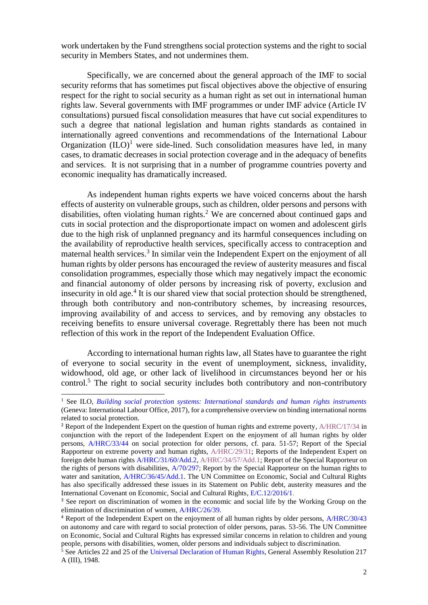work undertaken by the Fund strengthens social protection systems and the right to social security in Members States, and not undermines them.

Specifically, we are concerned about the general approach of the IMF to social security reforms that has sometimes put fiscal objectives above the objective of ensuring respect for the right to social security as a human right as set out in international human rights law. Several governments with IMF programmes or under IMF advice (Article IV consultations) pursued fiscal consolidation measures that have cut social expenditures to such a degree that national legislation and human rights standards as contained in internationally agreed conventions and recommendations of the International Labour Organization  $(IIO)^1$  were side-lined. Such consolidation measures have led, in many cases, to dramatic decreases in social protection coverage and in the adequacy of benefits and services. It is not surprising that in a number of programme countries poverty and economic inequality has dramatically increased.

As independent human rights experts we have voiced concerns about the harsh effects of austerity on vulnerable groups, such as children, older persons and persons with disabilities, often violating human rights.<sup>2</sup> We are concerned about continued gaps and cuts in social protection and the disproportionate impact on women and adolescent girls due to the high risk of unplanned pregnancy and its harmful consequences including on the availability of reproductive health services, specifically access to contraception and maternal health services.<sup>3</sup> In similar vein the Independent Expert on the enjoyment of all human rights by older persons has encouraged the review of austerity measures and fiscal consolidation programmes, especially those which may negatively impact the economic and financial autonomy of older persons by increasing risk of poverty, exclusion and insecurity in old age.<sup>4</sup> It is our shared view that social protection should be strengthened, through both contributory and non-contributory schemes, by increasing resources, improving availability of and access to services, and by removing any obstacles to receiving benefits to ensure universal coverage. Regrettably there has been not much reflection of this work in the report of the Independent Evaluation Office.

According to international human rights law, all States have to guarantee the right of everyone to social security in the event of unemployment, sickness, invalidity, widowhood, old age, or other lack of livelihood in circumstances beyond her or his control.<sup>5</sup> The right to social security includes both contributory and non-contributory

-

<sup>&</sup>lt;sup>1</sup> See ILO, *Building social protection systems: International standards and human rights instruments* (Geneva: International Labour Office, 2017), for a comprehensive overview on binding international norms related to social protection.

<sup>2</sup> Report of the Independent Expert on the question of human rights and extreme poverty, A/HRC/17/34 in conjunction with the report of the Independent Expert on the enjoyment of all human rights by older persons, A/HRC/33/44 on social protection for older persons, cf. para. 51-57; Report of the Special Rapporteur on extreme poverty and human rights, A/HRC/29/31; Reports of the Independent Expert on foreign debt human rights A/HRC/31/60/Add.2, A/HRC/34/57/Add.1; Report of the Special Rapporteur on the rights of persons with disabilities,  $A/70/297$ ; Report by the Special Rapporteur on the human rights to water and sanitation, A/HRC/36/45/Add.1. The UN Committee on Economic, Social and Cultural Rights has also specifically addressed these issues in its Statement on Public debt, austerity measures and the International Covenant on Economic, Social and Cultural Rights, E/C.12/2016/1.

<sup>&</sup>lt;sup>3</sup> See report on discrimination of women in the economic and social life by the Working Group on the elimination of discrimination of women, A/HRC/26/39.

<sup>4</sup> Report of the Independent Expert on the enjoyment of all human rights by older persons, A/HRC/30/43 on autonomy and care with regard to social protection of older persons, paras. 53-56. The UN Committee on Economic, Social and Cultural Rights has expressed similar concerns in relation to children and young people, persons with disabilities, women, older persons and individuals subject to discrimination.

<sup>&</sup>lt;sup>5</sup> See Articles 22 and 25 of the Universal Declaration of Human Rights, General Assembly Resolution 217 A (III), 1948.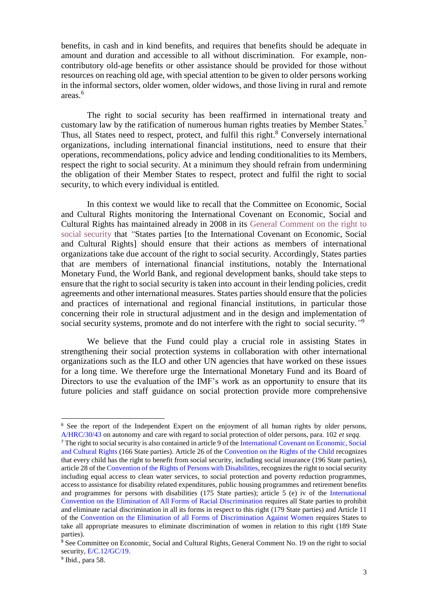benefits, in cash and in kind benefits, and requires that benefits should be adequate in amount and duration and accessible to all without discrimination. For example, noncontributory old-age benefits or other assistance should be provided for those without resources on reaching old age, with special attention to be given to older persons working in the informal sectors, older women, older widows, and those living in rural and remote areas.<sup>6</sup>

The right to social security has been reaffirmed in international treaty and customary law by the ratification of numerous human rights treaties by Member States.<sup>7</sup> Thus, all States need to respect, protect, and fulfil this right.<sup>8</sup> Conversely international organizations, including international financial institutions, need to ensure that their operations, recommendations, policy advice and lending conditionalities to its Members, respect the right to social security. At a minimum they should refrain from undermining the obligation of their Member States to respect, protect and fulfil the right to social security, to which every individual is entitled.

In this context we would like to recall that the Committee on Economic, Social and Cultural Rights monitoring the International Covenant on Economic, Social and Cultural Rights has maintained already in 2008 in its General Comment on the right to social security that *"*States parties [to the International Covenant on Economic, Social and Cultural Rights] should ensure that their actions as members of international organizations take due account of the right to social security. Accordingly, States parties that are members of international financial institutions, notably the International Monetary Fund, the World Bank, and regional development banks, should take steps to ensure that the right to social security is taken into account in their lending policies, credit agreements and other international measures. States parties should ensure that the policies and practices of international and regional financial institutions, in particular those concerning their role in structural adjustment and in the design and implementation of social security systems, promote and do not interfere with the right to social security.*"* 9

We believe that the Fund could play a crucial role in assisting States in strengthening their social protection systems in collaboration with other international organizations such as the ILO and other UN agencies that have worked on these issues for a long time. We therefore urge the International Monetary Fund and its Board of Directors to use the evaluation of the IMF's work as an opportunity to ensure that its future policies and staff guidance on social protection provide more comprehensive

-

<sup>&</sup>lt;sup>6</sup> See the report of the Independent Expert on the enjoyment of all human rights by older persons, A/HRC/30/43 on autonomy and care with regard to social protection of older persons, para. 102 *et seqq.*

<sup>7</sup> The right to social security is also contained in article 9 of the International Covenant on Economic, Social and Cultural Rights (166 State parties). Article 26 of the Convention on the Rights of the Child recognizes that every child has the right to benefit from social security, including social insurance (196 State parties), article 28 of the Convention of the Rights of Persons with Disabilities, recognizes the right to social security including equal access to clean water services, to social protection and poverty reduction programmes, access to assistance for disability related expenditures, public housing programmes and retirement benefits and programmes for persons with disabilities (175 State parties); article 5 (e) iv of the International Convention on the Elimination of All Forms of Racial Discrimination requires all State parties to prohibit and eliminate racial discrimination in all its forms in respect to this right (179 State parties) and Article 11 of the Convention on the Elimination of all Forms of Discrimination Against Women requires States to take all appropriate measures to eliminate discrimination of women in relation to this right (189 State parties).

<sup>8</sup> See Committee on Economic, Social and Cultural Rights, General Comment No. 19 on the right to social security, E/C.12/GC/19.

<sup>&</sup>lt;sup>9</sup> Ibid., para 58.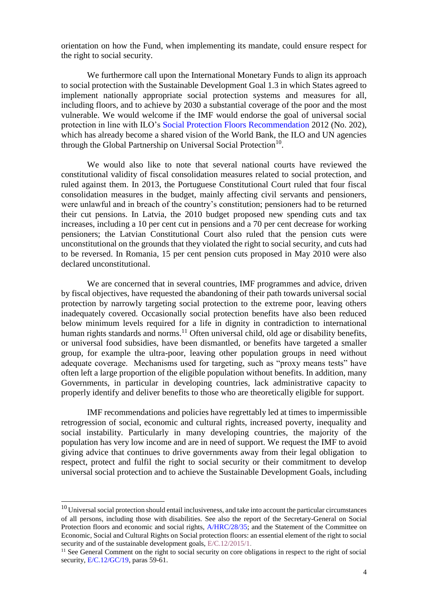orientation on how the Fund, when implementing its mandate, could ensure respect for the right to social security.

We furthermore call upon the International Monetary Funds to align its approach to social protection with the Sustainable Development Goal 1.3 in which States agreed to implement nationally appropriate social protection systems and measures for all, including floors, and to achieve by 2030 a substantial coverage of the poor and the most vulnerable. We would welcome if the IMF would endorse the goal of universal social protection in line with ILO's Social Protection Floors Recommendation 2012 (No. 202), which has already become a shared vision of the World Bank, the ILO and UN agencies through the Global Partnership on Universal Social Protection<sup>10</sup>.

We would also like to note that several national courts have reviewed the constitutional validity of fiscal consolidation measures related to social protection, and ruled against them. In 2013, the Portuguese Constitutional Court ruled that four fiscal consolidation measures in the budget, mainly affecting civil servants and pensioners, were unlawful and in breach of the country's constitution; pensioners had to be returned their cut pensions. In Latvia, the 2010 budget proposed new spending cuts and tax increases, including a 10 per cent cut in pensions and a 70 per cent decrease for working pensioners; the Latvian Constitutional Court also ruled that the pension cuts were unconstitutional on the grounds that they violated the right to social security, and cuts had to be reversed. In Romania, 15 per cent pension cuts proposed in May 2010 were also declared unconstitutional.

We are concerned that in several countries, IMF programmes and advice, driven by fiscal objectives, have requested the abandoning of their path towards universal social protection by narrowly targeting social protection to the extreme poor, leaving others inadequately covered. Occasionally social protection benefits have also been reduced below minimum levels required for a life in dignity in contradiction to international human rights standards and norms.<sup>11</sup> Often universal child, old age or disability benefits, or universal food subsidies, have been dismantled, or benefits have targeted a smaller group, for example the ultra-poor, leaving other population groups in need without adequate coverage. Mechanisms used for targeting, such as "proxy means tests" have often left a large proportion of the eligible population without benefits. In addition, many Governments, in particular in developing countries, lack administrative capacity to properly identify and deliver benefits to those who are theoretically eligible for support.

IMF recommendations and policies have regrettably led at times to impermissible retrogression of social, economic and cultural rights, increased poverty, inequality and social instability. Particularly in many developing countries, the majority of the population has very low income and are in need of support. We request the IMF to avoid giving advice that continues to drive governments away from their legal obligation to respect, protect and fulfil the right to social security or their commitment to develop universal social protection and to achieve the Sustainable Development Goals, including

1

<sup>&</sup>lt;sup>10</sup> Universal social protection should entail inclusiveness, and take into account the particular circumstances of all persons, including those with disabilities. See also the report of the Secretary-General on Social Protection floors and economic and social rights, A/HRC/28/35; and the Statement of the Committee on Economic, Social and Cultural Rights on Social protection floors: an essential element of the right to social security and of the sustainable development goals,  $E/C.12/2015/1$ .

<sup>&</sup>lt;sup>11</sup> See General Comment on the right to social security on core obligations in respect to the right of social security, E/C.12/GC/19, paras 59-61.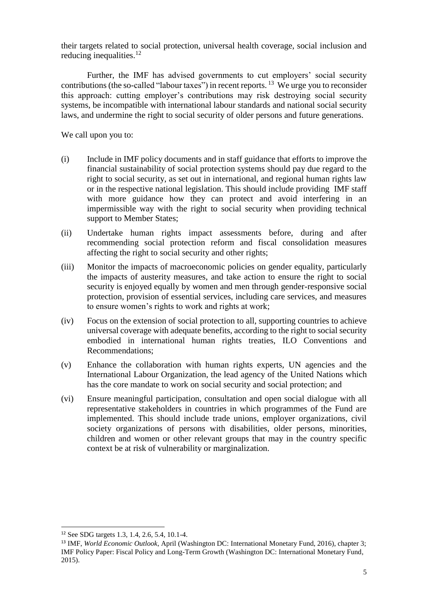their targets related to social protection, universal health coverage, social inclusion and reducing inequalities. $12$ 

Further, the IMF has advised governments to cut employers' social security contributions (the so-called "labour taxes") in recent reports. <sup>13</sup> We urge you to reconsider this approach: cutting employer's contributions may risk destroying social security systems, be incompatible with international labour standards and national social security laws, and undermine the right to social security of older persons and future generations.

We call upon you to:

- (i) Include in IMF policy documents and in staff guidance that efforts to improve the financial sustainability of social protection systems should pay due regard to the right to social security, as set out in international, and regional human rights law or in the respective national legislation. This should include providing IMF staff with more guidance how they can protect and avoid interfering in an impermissible way with the right to social security when providing technical support to Member States;
- (ii) Undertake human rights impact assessments before, during and after recommending social protection reform and fiscal consolidation measures affecting the right to social security and other rights;
- (iii) Monitor the impacts of macroeconomic policies on gender equality, particularly the impacts of austerity measures, and take action to ensure the right to social security is enjoyed equally by women and men through gender-responsive social protection, provision of essential services, including care services, and measures to ensure women's rights to work and rights at work;
- (iv) Focus on the extension of social protection to all, supporting countries to achieve universal coverage with adequate benefits, according to the right to social security embodied in international human rights treaties, ILO Conventions and Recommendations;
- (v) Enhance the collaboration with human rights experts, UN agencies and the International Labour Organization, the lead agency of the United Nations which has the core mandate to work on social security and social protection; and
- (vi) Ensure meaningful participation, consultation and open social dialogue with all representative stakeholders in countries in which programmes of the Fund are implemented. This should include trade unions, employer organizations, civil society organizations of persons with disabilities, older persons, minorities, children and women or other relevant groups that may in the country specific context be at risk of vulnerability or marginalization.

 $\overline{a}$ 

<sup>12</sup> See SDG targets 1.3, 1.4, 2.6, 5.4, 10.1-4.

<sup>13</sup> IMF, *World Economic Outlook*, April (Washington DC: International Monetary Fund, 2016), chapter 3; IMF Policy Paper: Fiscal Policy and Long-Term Growth (Washington DC: International Monetary Fund, 2015).